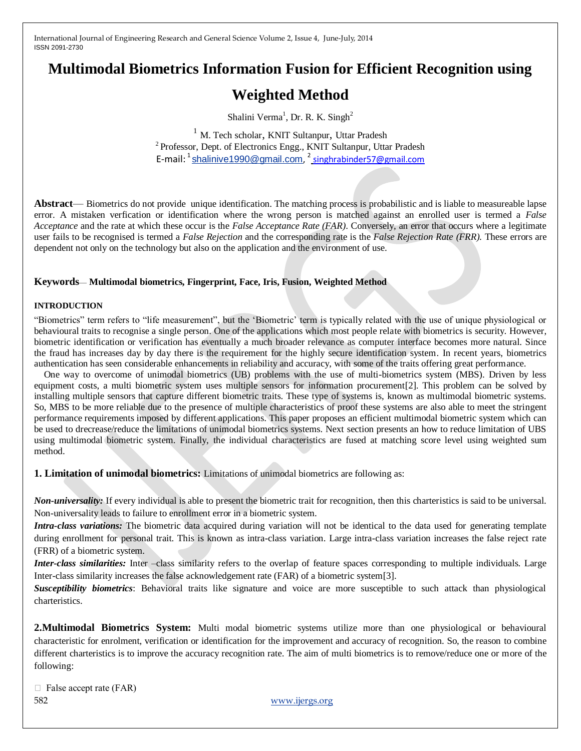# **Multimodal Biometrics Information Fusion for Efficient Recognition using**

# **Weighted Method**

Shalini Verma<sup>1</sup>, Dr. R. K. Singh<sup>2</sup>

<sup>1</sup> M. Tech scholar, KNIT Sultanpur, Uttar Pradesh <sup>2</sup> Professor, Dept. of Electronics Engg., KNIT Sultanpur, Uttar Pradesh E-mail: <sup>1</sup> shalinive 1990@gmail.com, <sup>2</sup> singhrabinder 57@gmail.com

**Abstract**— Biometrics do not provide unique identification. The matching process is probabilistic and is liable to measureable lapse error. A mistaken verfication or identification where the wrong person is matched against an enrolled user is termed a *False Acceptance* and the rate at which these occur is the *False Acceptance Rate (FAR)*. Conversely, an error that occurs where a legitimate user fails to be recognised is termed a *False Rejection* and the corresponding rate is the *False Rejection Rate (FRR).* These errors are dependent not only on the technology but also on the application and the environment of use.

# **Keywords**— **Multimodal biometrics, Fingerprint, Face, Iris, Fusion, Weighted Method**

#### **INTRODUCTION**

"Biometrics" term refers to "life measurement", but the 'Biometric' term is typically related with the use of unique physiological or behavioural traits to recognise a single person. One of the applications which most people relate with biometrics is security. However, biometric identification or verification has eventually a much broader relevance as computer interface becomes more natural. Since the fraud has increases day by day there is the requirement for the highly secure identification system. In recent years, biometrics authentication has seen considerable enhancements in reliability and accuracy, with some of the traits offering great performance.

 One way to overcome of unimodal biometrics (UB) problems with the use of multi-biometrics system (MBS). Driven by less equipment costs, a multi biometric system uses multiple sensors for information procurement[2]. This problem can be solved by installing multiple sensors that capture different biometric traits. These type of systems is, known as multimodal biometric systems. So, MBS to be more reliable due to the presence of multiple characteristics of proof these systems are also able to meet the stringent performance requirements imposed by different applications. This paper proposes an efficient multimodal biometric system which can be used to drecrease/reduce the limitations of unimodal biometrics systems. Next section presents an how to reduce limitation of UBS using multimodal biometric system. Finally, the individual characteristics are fused at matching score level using weighted sum method.

**1. Limitation of unimodal biometrics:** Limitations of unimodal biometrics are following as:

*Non-universality:* If every individual is able to present the biometric trait for recognition, then this charteristics is said to be universal. Non-universality leads to failure to enrollment error in a biometric system.

*Intra-class variations:* The biometric data acquired during variation will not be identical to the data used for generating template during enrollment for personal trait. This is known as intra-class variation. Large intra-class variation increases the false reject rate (FRR) of a biometric system.

*Inter-class similarities:* Inter –class similarity refers to the overlap of feature spaces corresponding to multiple individuals. Large Inter-class similarity increases the false acknowledgement rate (FAR) of a biometric system[3].

*Susceptibility biometrics*: Behavioral traits like signature and voice are more susceptible to such attack than physiological charteristics.

**2.Multimodal Biometrics System:** Multi modal biometric systems utilize more than one physiological or behavioural characteristic for enrolment, verification or identification for the improvement and accuracy of recognition. So, the reason to combine different charteristics is to improve the accuracy recognition rate. The aim of multi biometrics is to remove/reduce one or more of the following:

582 [www.ijergs.org](http://www.ijergs.org/)  $\Box$  False accept rate (FAR)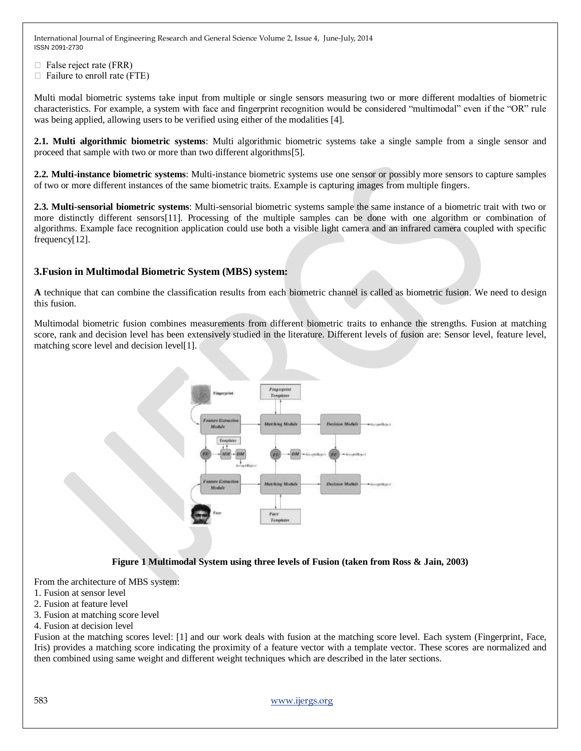$\Box$  False reject rate (FRR)

 $\Box$  Failure to enroll rate (FTE)

Multi modal biometric systems take input from multiple or single sensors measuring two or more different modalties of biometric characteristics. For example, a system with face and fingerprint recognition would be considered "multimodal" even if the "OR" rule was being applied, allowing users to be verified using either of the modalities [4].

**2.1. Multi algorithmic biometric systems**: Multi algorithmic biometric systems take a single sample from a single sensor and proceed that sample with two or more than two different algorithms[5].

**2.2. Multi-instance biometric systems**: Multi-instance biometric systems use one sensor or possibly more sensors to capture samples of two or more different instances of the same biometric traits. Example is capturing images from multiple fingers.

**2.3. Multi-sensorial biometric systems**: Multi-sensorial biometric systems sample the same instance of a biometric trait with two or more distinctly different sensors[11]. Processing of the multiple samples can be done with one algorithm or combination of algorithms. Example face recognition application could use both a visible light camera and an infrared camera coupled with specific frequency[12].

# **3.Fusion in Multimodal Biometric System (MBS) system:**

**A** technique that can combine the classification results from each biometric channel is called as biometric fusion. We need to design this fusion.

Multimodal biometric fusion combines measurements from different biometric traits to enhance the strengths. Fusion at matching score, rank and decision level has been extensively studied in the literature. Different levels of fusion are: Sensor level, feature level, matching score level and decision level[1].



#### **Figure 1 Multimodal System using three levels of Fusion (taken from Ross & Jain, 2003)**

From the architecture of MBS system:

- 1. Fusion at sensor level
- 2. Fusion at feature level
- 3. Fusion at matching score level
- 4. Fusion at decision level

Fusion at the matching scores level: [1] and our work deals with fusion at the matching score level. Each system (Fingerprint, Face, Iris) provides a matching score indicating the proximity of a feature vector with a template vector. These scores are normalized and then combined using same weight and different weight techniques which are described in the later sections.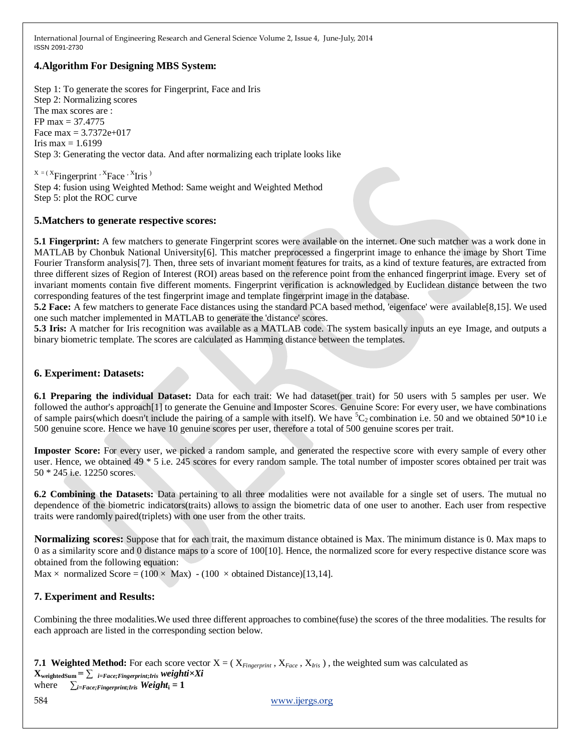# **4.Algorithm For Designing MBS System:**

Step 1: To generate the scores for Fingerprint, Face and Iris Step 2: Normalizing scores The max scores are : FP max = 37.4775 Face max =  $3.7372e+017$ Iris max  $= 1.6199$ Step 3: Generating the vector data. And after normalizing each triplate looks like

 $X = (X_{\text{Fingerprint}}, X_{\text{Face}}, X_{\text{Tris}})$ Step 4: fusion using Weighted Method: Same weight and Weighted Method Step 5: plot the ROC curve

# **5.Matchers to generate respective scores:**

**5.1 Fingerprint:** A few matchers to generate Fingerprint scores were available on the internet. One such matcher was a work done in MATLAB by Chonbuk National University[6]. This matcher preprocessed a fingerprint image to enhance the image by Short Time Fourier Transform analysis[7]. Then, three sets of invariant moment features for traits, as a kind of texture features, are extracted from three different sizes of Region of Interest (ROI) areas based on the reference point from the enhanced fingerprint image. Every set of invariant moments contain five different moments. Fingerprint verification is acknowledged by Euclidean distance between the two corresponding features of the test fingerprint image and template fingerprint image in the database.

**5.2 Face:** A few matchers to generate Face distances using the standard PCA based method, 'eigenface' were available[8,15]. We used one such matcher implemented in MATLAB to generate the 'distance' scores.

**5.3 Iris:** A matcher for Iris recognition was available as a MATLAB code. The system basically inputs an eye Image, and outputs a binary biometric template. The scores are calculated as Hamming distance between the templates.

# **6. Experiment: Datasets:**

**6.1 Preparing the individual Dataset:** Data for each trait: We had dataset(per trait) for 50 users with 5 samples per user. We followed the author's approach<sup>[1]</sup> to generate the Genuine and Imposter Scores. Genuine Score: For every user, we have combinations of sample pairs(which doesn't include the pairing of a sample with itself). We have  ${}^5C_2$  combination i.e. 50 and we obtained 50\*10 i.e 500 genuine score. Hence we have 10 genuine scores per user, therefore a total of 500 genuine scores per trait.

**Imposter Score:** For every user, we picked a random sample, and generated the respective score with every sample of every other user. Hence, we obtained 49 \* 5 i.e. 245 scores for every random sample. The total number of imposter scores obtained per trait was 50 \* 245 i.e. 12250 scores.

**6.2 Combining the Datasets:** Data pertaining to all three modalities were not available for a single set of users. The mutual no dependence of the biometric indicators(traits) allows to assign the biometric data of one user to another. Each user from respective traits were randomly paired(triplets) with one user from the other traits.

**Normalizing scores:** Suppose that for each trait, the maximum distance obtained is Max. The minimum distance is 0. Max maps to 0 as a similarity score and 0 distance maps to a score of 100[10]. Hence, the normalized score for every respective distance score was obtained from the following equation:

Max  $\times$  normalized Score = (100  $\times$  Max) - (100  $\times$  obtained Distance)[13,14].

# **7. Experiment and Results:**

Combining the three modalities.We used three different approaches to combine(fuse) the scores of the three modalities. The results for each approach are listed in the corresponding section below.

```
584 www.ijergs.org
7.1 Weighted Method: For each score vector X = (X_{Fineerrint}, X_{Face}, X_{his}), the weighted sum was calculated as
\mathbf{X}_{weightedSum} = \sum_{i=Face;Fingerprint;Iris} weightit \times Xiwhere \sum_{i=Face;Fingerprint;Iris} Weight_i = 1
```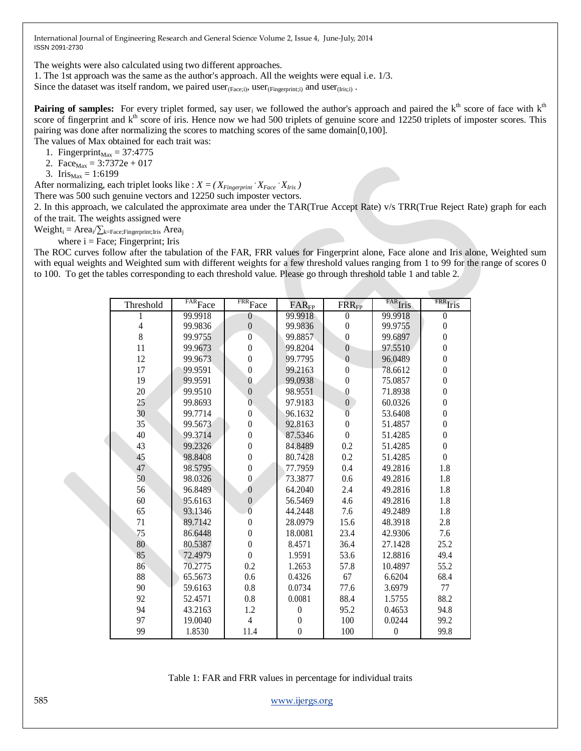The weights were also calculated using two different approaches.

1. The 1st approach was the same as the author's approach. All the weights were equal i.e. 1/3.

Since the dataset was itself random, we paired user $_{(Facei)}$ , user $_{(Financei)}$  and user $_{(Tris:i)}$ .

**Pairing of samples:** For every triplet formed, say user<sub>i</sub> we followed the author's approach and paired the  $k<sup>th</sup>$  score of face with  $k<sup>th</sup>$ score of fingerprint and k<sup>th</sup> score of iris. Hence now we had 500 triplets of genuine score and 12250 triplets of imposter scores. This pairing was done after normalizing the scores to matching scores of the same domain[0,100]. The values of Max obtained for each trait was:

- 1. Fingerprint $_{\text{Max}}$  = 37:4775
- 2. Face<sub>Max</sub> =  $3:7372e + 017$

3. Iris $_{\text{Max}} = 1:6199$ 

After normalizing, each triplet looks like :  $X = (X_{Fingerprint} \cdot X_{Face} \cdot X_{Inis})$ 

There was 500 such genuine vectors and 12250 such imposter vectors.

2. In this approach, we calculated the approximate area under the TAR(True Accept Rate) v/s TRR(True Reject Rate) graph for each of the trait. The weights assigned were

 $Weight_i = Area_i / \sum_{k = Face; Fingerprint; Iris} Area_j$ 

where  $i = \text{Face}$ ; Fingerprint; Iris

The ROC curves follow after the tabulation of the FAR, FRR values for Fingerprint alone, Face alone and Iris alone, Weighted sum with equal weights and Weighted sum with different weights for a few threshold values ranging from 1 to 99 for the range of scores 0 to 100. To get the tables corresponding to each threshold value. Please go through threshold table 1 and table 2.

|                | $\overline{\text{FAR}}\textsc{Face}$ | $FRR$ Face       |                              |                      | FAR <sub>Iris</sub> | <b>FRR</b> Iris                      |
|----------------|--------------------------------------|------------------|------------------------------|----------------------|---------------------|--------------------------------------|
| Threshold      | 99.9918                              | $\theta$         | FAR <sub>FP</sub><br>99.9918 | $FRR_{FP}$           | 99.9918             |                                      |
| $\overline{4}$ | 99.9836                              | $\boldsymbol{0}$ | 99.9836                      | $\theta$<br>$\theta$ | 99.9755             | $\boldsymbol{0}$<br>$\boldsymbol{0}$ |
| 8              | 99.9755                              | $\boldsymbol{0}$ | 99.8857                      | $\boldsymbol{0}$     | 99.6897             | $\boldsymbol{0}$                     |
|                |                                      |                  |                              | $\overline{0}$       |                     | $\boldsymbol{0}$                     |
| 11             | 99.9673                              | $\boldsymbol{0}$ | 99.8204                      |                      | 97.5510             |                                      |
| 12             | 99.9673                              | $\mathbf{0}$     | 99.7795                      | $\theta$             | 96.0489             | $\boldsymbol{0}$                     |
| 17             | 99.9591                              | $\mathbf{0}$     | 99.2163                      | $\theta$             | 78.6612             | $\boldsymbol{0}$                     |
| 19             | 99.9591                              | $\mathbf{0}$     | 99.0938                      | $\boldsymbol{0}$     | 75.0857             | $\boldsymbol{0}$                     |
| 20             | 99.9510                              | $\mathbf{0}$     | 98.9551                      | 0                    | 71.8938             | $\boldsymbol{0}$                     |
| 25             | 99.8693                              | $\overline{0}$   | 97.9183                      | $\boldsymbol{0}$     | 60.0326             | $\boldsymbol{0}$                     |
| 30             | 99.7714                              | $\boldsymbol{0}$ | 96.1632                      | $\overline{0}$       | 53.6408             | $\boldsymbol{0}$                     |
| 35             | 99.5673                              | $\boldsymbol{0}$ | 92.8163                      | $\mathbf{0}$         | 51.4857             | $\boldsymbol{0}$                     |
| 40             | 99.3714                              | $\boldsymbol{0}$ | 87.5346                      | $\theta$             | 51.4285             | $\boldsymbol{0}$                     |
| 43             | 99.2326                              | $\boldsymbol{0}$ | 84.8489                      | 0.2                  | 51.4285             | $\boldsymbol{0}$                     |
| 45             | 98.8408                              | $\boldsymbol{0}$ | 80.7428                      | 0.2                  | 51.4285             | $\boldsymbol{0}$                     |
| 47             | 98.5795                              | $\boldsymbol{0}$ | 77.7959                      | 0.4                  | 49.2816             | 1.8                                  |
| 50             | 98.0326                              | $\overline{0}$   | 73.3877                      | 0.6                  | 49.2816             | 1.8                                  |
| 56             | 96.8489                              | $\overline{0}$   | 64.2040                      | 2.4                  | 49.2816             | 1.8                                  |
| 60             | 95.6163                              | $\boldsymbol{0}$ | 56.5469                      | 4.6                  | 49.2816             | 1.8                                  |
| 65             | 93.1346                              | $\overline{0}$   | 44.2448                      | 7.6                  | 49.2489             | 1.8                                  |
| 71             | 89.7142                              | $\theta$         | 28.0979                      | 15.6                 | 48.3918             | 2.8                                  |
| 75             | 86.6448                              | $\theta$         | 18.0081                      | 23.4                 | 42.9306             | 7.6                                  |
| 80             | 80.5387                              | $\boldsymbol{0}$ | 8.4571                       | 36.4                 | 27.1428             | 25.2                                 |
| 85             | 72.4979                              | $\theta$         | 1.9591                       | 53.6                 | 12.8816             | 49.4                                 |
| 86             | 70.2775                              | 0.2              | 1.2653                       | 57.8                 | 10.4897             | 55.2                                 |
| 88             | 65.5673                              | 0.6              | 0.4326                       | 67                   | 6.6204              | 68.4                                 |
| 90             | 59.6163                              | 0.8              | 0.0734                       | 77.6                 | 3.6979              | 77                                   |
| 92             | 52.4571                              | 0.8              | 0.0081                       | 88.4                 | 1.5755              | 88.2                                 |
| 94             | 43.2163                              | 1.2              | $\boldsymbol{0}$             | 95.2                 | 0.4653              | 94.8                                 |
| 97             | 19.0040                              | $\overline{4}$   | $\boldsymbol{0}$             | 100                  | 0.0244              | 99.2                                 |
| 99             | 1.8530                               | 11.4             | $\boldsymbol{0}$             | 100                  | $\boldsymbol{0}$    | 99.8                                 |

Table 1: FAR and FRR values in percentage for individual traits

585 [www.ijergs.org](http://www.ijergs.org/)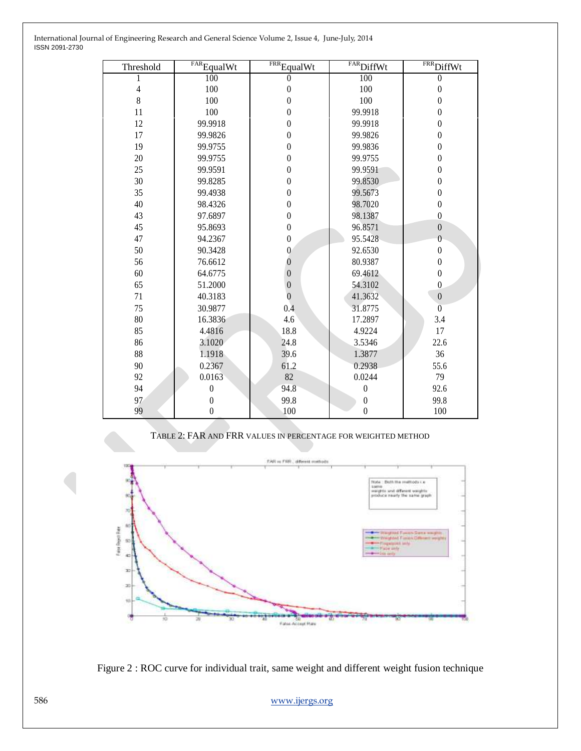| International Journal of Engineering Research and General Science Volume 2, Issue 4, June-July, 2014 |  |
|------------------------------------------------------------------------------------------------------|--|
| ISSN 2091-2730                                                                                       |  |

| Threshold      | $FAR$ Equal Wt   | $\overline{\text{FRR}}$ Equal Wt | $\overline{\text{FAR}}$ DiffWt | $FRR$ DiffWt     |
|----------------|------------------|----------------------------------|--------------------------------|------------------|
|                | 100              | $\theta$                         | 100                            | $\theta$         |
| $\overline{4}$ | 100              | $\boldsymbol{0}$                 | 100                            | $\boldsymbol{0}$ |
| 8              | 100              | $\boldsymbol{0}$                 | 100                            | $\boldsymbol{0}$ |
| 11             | 100              | $\overline{0}$                   | 99.9918                        | $\theta$         |
| 12             | 99.9918          | $\boldsymbol{0}$                 | 99.9918                        | $\boldsymbol{0}$ |
| 17             | 99.9826          | $\boldsymbol{0}$                 | 99.9826                        | $\boldsymbol{0}$ |
| 19             | 99.9755          | $\boldsymbol{0}$                 | 99.9836                        | $\boldsymbol{0}$ |
| 20             | 99.9755          | $\theta$                         | 99.9755                        | $\boldsymbol{0}$ |
| 25             | 99.9591          | $\boldsymbol{0}$                 | 99.9591                        | $\boldsymbol{0}$ |
| 30             | 99.8285          | $\boldsymbol{0}$                 | 99.8530                        | $\boldsymbol{0}$ |
| 35             | 99.4938          | $\overline{0}$                   | 99.5673                        | $\boldsymbol{0}$ |
| 40             | 98.4326          | $\theta$                         | 98.7020                        | $\boldsymbol{0}$ |
| 43             | 97.6897          | $\boldsymbol{0}$                 | 98.1387                        | $\overline{0}$   |
| 45             | 95.8693          | $\boldsymbol{0}$                 | 96.8571                        | $\boldsymbol{0}$ |
| 47             | 94.2367          | $\boldsymbol{0}$                 | 95.5428                        | $\overline{0}$   |
| 50             | 90.3428          | $\mathbf{0}$                     | 92.6530                        | $\boldsymbol{0}$ |
| 56             | 76.6612          | $\overline{0}$                   | 80.9387                        | $\boldsymbol{0}$ |
| 60             | 64.6775          | $\boldsymbol{0}$                 | 69.4612                        | $\boldsymbol{0}$ |
| 65             | 51.2000          | $\boldsymbol{0}$                 | 54.3102                        | $\overline{0}$   |
| 71             | 40.3183          | $\overline{0}$                   | 41.3632                        | $\boldsymbol{0}$ |
| 75             | 30.9877          | 0.4                              | 31.8775                        | $\overline{0}$   |
| 80             | 16.3836          | 4.6                              | 17.2897                        | 3.4              |
| 85             | 4.4816           | 18.8                             | 4.9224                         | 17               |
| 86             | 3.1020           | 24.8                             | 3.5346                         | 22.6             |
| 88             | 1.1918           | 39.6                             | 1.3877                         | 36               |
| 90             | 0.2367           | 61.2                             | 0.2938                         | 55.6             |
| 92             | 0.0163           | 82                               | 0.0244                         | 79               |
| 94             | $\boldsymbol{0}$ | 94.8                             | $\boldsymbol{0}$               | 92.6             |
| 97             | $\theta$         | 99.8                             | $\boldsymbol{0}$               | 99.8             |
| 99             | $\boldsymbol{0}$ | 100                              | $\boldsymbol{0}$               | 100              |

TABLE 2: FAR AND FRR VALUES IN PERCENTAGE FOR WEIGHTED METHOD





[www.ijergs.org](http://www.ijergs.org/)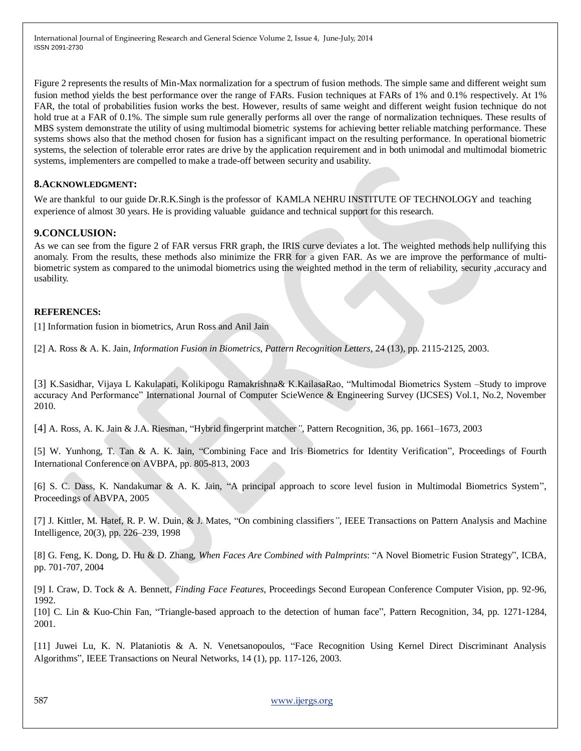Figure 2 represents the results of Min-Max normalization for a spectrum of fusion methods. The simple same and different weight sum fusion method yields the best performance over the range of FARs. Fusion techniques at FARs of 1% and 0.1% respectively. At 1% FAR, the total of probabilities fusion works the best. However, results of same weight and different weight fusion technique do not hold true at a FAR of 0.1%. The simple sum rule generally performs all over the range of normalization techniques. These results of MBS system demonstrate the utility of using multimodal biometric systems for achieving better reliable matching performance. These systems shows also that the method chosen for fusion has a significant impact on the resulting performance. In operational biometric systems, the selection of tolerable error rates are drive by the application requirement and in both unimodal and multimodal biometric systems, implementers are compelled to make a trade-off between security and usability.

# **8.ACKNOWLEDGMENT:**

We are thankful to our guide Dr.R.K.Singh is the professor of KAMLA NEHRU INSTITUTE OF TECHNOLOGY and teaching experience of almost 30 years. He is providing valuable guidance and technical support for this research.

# **9.CONCLUSION:**

As we can see from the figure 2 of FAR versus FRR graph, the IRIS curve deviates a lot. The weighted methods help nullifying this anomaly. From the results, these methods also minimize the FRR for a given FAR. As we are improve the performance of multibiometric system as compared to the unimodal biometrics using the weighted method in the term of reliability, security ,accuracy and usability.

# **REFERENCES:**

[1] Information fusion in biometrics, Arun Ross and Anil Jain

[2] A. Ross & A. K. Jain, *Information Fusion in Biometrics*, *Pattern Recognition Letters*, 24 (13), pp. 2115-2125, 2003.

[3] K.Sasidhar, Vijaya L Kakulapati, Kolikipogu Ramakrishna& K.KailasaRao, "Multimodal Biometrics System –Study to improve accuracy And Performance" International Journal of Computer ScieWence & Engineering Survey (IJCSES) Vol.1, No.2, November 2010.

[4] A. Ross, A. K. Jain & J.A. Riesman, "Hybrid fingerprint matcher", Pattern Recognition, 36, pp. 1661–1673, 2003

[5] W. Yunhong, T. Tan & A. K. Jain, "Combining Face and Iris Biometrics for Identity Verification", Proceedings of Fourth International Conference on AVBPA, pp. 805-813, 2003

[6] S. C. Dass, K. Nandakumar & A. K. Jain, "A principal approach to score level fusion in Multimodal Biometrics System", Proceedings of ABVPA, 2005

[7] J. Kittler, M. Hatef, R. P. W. Duin, & J. Mates, "On combining classifiers", IEEE Transactions on Pattern Analysis and Machine Intelligence, 20(3), pp. 226–239, 1998

[8] G. Feng, K. Dong, D. Hu & D. Zhang, *When Faces Are Combined with Palmprints*: "A Novel Biometric Fusion Strategy", ICBA, pp. 701-707, 2004

[9] I. Craw, D. Tock & A. Bennett, *Finding Face Features*, Proceedings Second European Conference Computer Vision, pp. 92-96, 1992.

[10] C. Lin & Kuo-Chin Fan, "Triangle-based approach to the detection of human face", Pattern Recognition, 34, pp. 1271-1284, 2001.

[11] Juwei Lu, K. N. Plataniotis & A. N. Venetsanopoulos, "Face Recognition Using Kernel Direct Discriminant Analysis Algorithms", IEEE Transactions on Neural Networks, 14 (1), pp. 117-126, 2003.